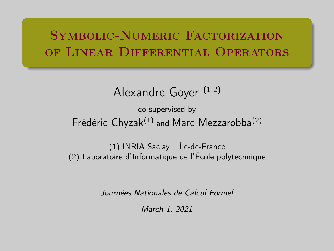### <span id="page-0-0"></span>Symbolic-Numeric Factorization of Linear Differential Operators

### Alexandre Goyer (1,2)

### co-supervised by Frédéric  $Chyzak^{(1)}$  and Marc Mezzarobba<sup>(2)</sup>

(1) INRIA Saclay – Île-de-France (2) Laboratoire d'Informatique de l'École polytechnique

Journées Nationales de Calcul Formel

March 1, 2021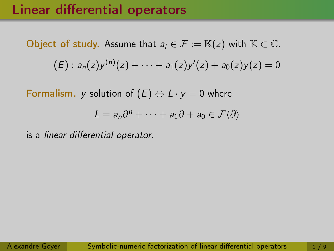### Linear differential operators

Object of study. Assume that  $a_i \in \mathcal{F} := \mathbb{K}(z)$  with  $\mathbb{K} \subset \mathbb{C}$ .  $\mathcal{L}(E): a_n(z) y^{(n)}(z) + \cdots + a_1(z) y'(z) + a_0(z) y(z) = 0$ 

Formalism. y solution of  $(E) \Leftrightarrow L \cdot y = 0$  where

$$
L=a_n\partial^n+\cdots+a_1\partial+a_0\in\mathcal{F}\langle\partial\rangle
$$

is a linear differential operator.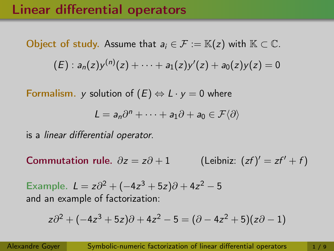### Linear differential operators

Object of study. Assume that  $a_i \in \mathcal{F} := \mathbb{K}(z)$  with  $\mathbb{K} \subset \mathbb{C}$ .  $\mathcal{L}(E): a_n(z) y^{(n)}(z) + \cdots + a_1(z) y'(z) + a_0(z) y(z) = 0$ 

Formalism. y solution of  $(E) \Leftrightarrow L \cdot y = 0$  where

$$
L=a_n\partial^n+\cdots+a_1\partial+a_0\in\mathcal{F}\langle\partial\rangle
$$

is a linear differential operator.

Commutation rule.  $\partial z = z\partial + 1$ (Leibniz:  $(zf)' = zf' + f$ )

Example.  $L = z\partial^2 + (-4z^3 + 5z)\partial + 4z^2 - 5$ and an example of factorization:

$$
z\partial^2 + (-4z^3 + 5z)\partial + 4z^2 - 5 = (\partial - 4z^2 + 5)(z\partial - 1)
$$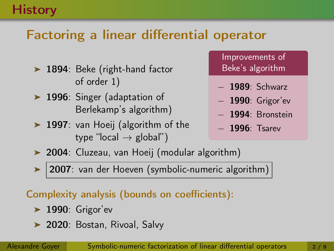### **History**

## Factoring a linear differential operator

- ▶ 1894: Beke (right-hand factor of order 1)
- ▶ 1996: Singer (adaptation of Berlekamp's algorithm)
- ▶ 1997: van Hoeij (algorithm of the type "local  $\rightarrow$  global")

Improvements of Beke's algorithm

- − 1989: Schwarz
- − 1990: Grigor'ev
- − 1994: Bronstein
- − 1996: Tsarev
- ▶ 2004: Cluzeau, van Hoeij (modular algorithm)
- 2007: van der Hoeven (symbolic-numeric algorithm)

### Complexity analysis (bounds on coefficients):

- $\blacktriangleright$  1990: Grigor'ev
- ▶ 2020: Bostan, Rivoal, Salvy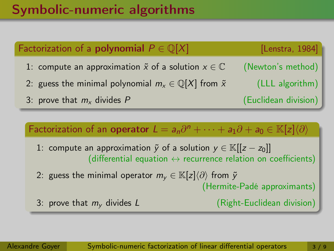## Symbolic-numeric algorithms

# Factorization of a **polynomial**  $P \in \mathbb{O}[X]$  [Lenstra, 1984] 1: compute an approximation  $\tilde{x}$  of a solution  $x \in \mathbb{C}$  (Newton's method) 2: guess the minimal polynomial  $m_x \in \mathbb{Q}[X]$  from  $\tilde{x}$  (LLL algorithm) 3: prove that  $m_x$  divides P (Euclidean division)

Factorization of an operator  $L = a_n \partial^n + \cdots + a_1 \partial + a_0 \in \mathbb{K}[z] \langle \partial \rangle$ 

- 1: compute an approximation  $\tilde{y}$  of a solution  $y \in \mathbb{K}[[z-z_0]]$ (differential equation  $\leftrightarrow$  recurrence relation on coefficients)
- 2: guess the minimal operator  $m_{\nu} \in \mathbb{K}[z]\langle \partial \rangle$  from  $\tilde{y}$

(Hermite-Padé approximants)

3: prove that  $m_v$  divides L (Right-Euclidean division)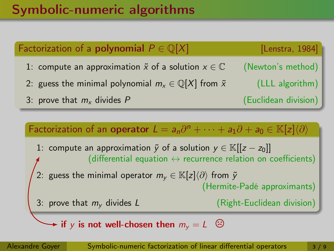## Symbolic-numeric algorithms

# Factorization of a **polynomial**  $P \in \mathbb{Q}[X]$  [Lenstra, 1984] 1: compute an approximation  $\tilde{x}$  of a solution  $x \in \mathbb{C}$  (Newton's method) 2: guess the minimal polynomial  $m_x \in \mathbb{Q}[X]$  from  $\tilde{x}$  (LLL algorithm) 3: prove that  $m_x$  divides P (Euclidean division) Factorization of an operator  $L = a_n \partial^n + \cdots + a_1 \partial + a_0 \in \mathbb{K}[z] \langle \partial \rangle$

1: compute an approximation  $\tilde{y}$  of a solution  $y \in \mathbb{K}[[z-z_0]]$ (differential equation  $\leftrightarrow$  recurrence relation on coefficients) 2: guess the minimal operator  $m_y \in \mathbb{K}[z]\langle \partial \rangle$  from  $\tilde{y}$ (Hermite-Padé approximants) 3: prove that  $m_v$  divides  $L$  (Right-Euclidean division)

 $\blacktriangleright$  if  $\gamma$  is not well-chosen then  $m_\nu = L^{\circ}$   $\odot$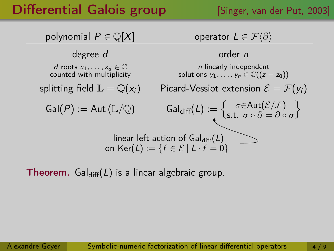## **Differential Galois group** [Singer, van der Put, 2003]



**Theorem.** Gal<sub>diff</sub>(L) is a linear algebraic group.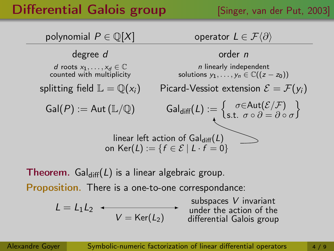## **Differential Galois group** [Singer, van der Put, 2003]



**Theorem.** Gal<sub>diff</sub>(L) is a linear algebraic group.

Proposition. There is a one-to-one correspondance:

$$
L = L_1 L_2 \leftarrow V = \text{Ker}(L_2)
$$

subspaces V invariant under the action of the differential Galois group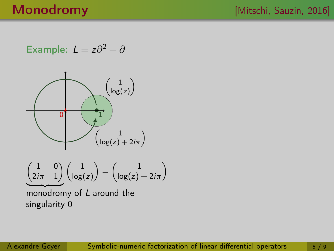Example:  $L = z\partial^2 + \partial$ 

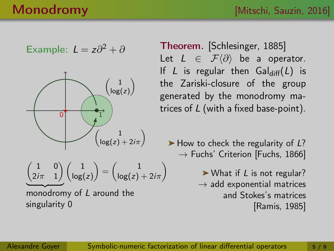Example: 
$$
L = z\partial^2 + \partial
$$



$$
\underbrace{\begin{pmatrix} 1 & 0 \\ 2i\pi & 1 \end{pmatrix}}_{\text{long}} \begin{pmatrix} 1 \\ \log(z) \end{pmatrix} = \begin{pmatrix} 1 \\ \log(z) + 2i\pi \end{pmatrix}
$$

monodromy of L around the singularity 0

Theorem. [Schlesinger, 1885] Let  $L \in \mathcal{F}\langle \partial \rangle$  be a operator. If L is regular then  $Gal_{diff}(L)$  is the Zariski-closure of the group generated by the monodromy matrices of L (with a fixed base-point).

 $\blacktriangleright$  How to check the regularity of L?  $\rightarrow$  Fuchs' Criterion [Fuchs, 1866]

> $\triangleright$  What if L is not regular?  $\rightarrow$  add exponential matrices and Stokes's matrices [Ramis, 1985]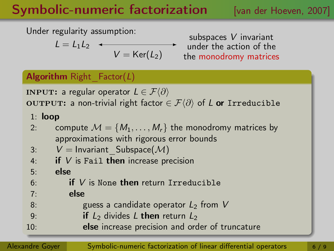## Symbolic-numeric factorization [van der Hoeven, 2007]

Under regularity assumption:

$$
L = L_1 L_2 \quad \longleftarrow \quad \quad V = \text{Ker}(L_2)
$$

subspaces V invariant under the action of the the monodromy matrices

### Algorithm Right  $Factor(L)$

**INPUT:** a regular operator  $L \in \mathcal{F}\langle \partial \rangle$ OUTPUT: a non-trivial right factor  $\in \mathcal{F}\langle\partial\rangle$  of L or Irreducible

- 1: loop
- 2: compute  $M = \{M_1, \ldots, M_r\}$  the monodromy matrices by approximations with rigorous error bounds

3: 
$$
V = \text{Invariant\_Subspace}(\mathcal{M})
$$

- 4: if  $V$  is Fail then increase precision
- 5: else
- $6:$  if V is None then return Irreducible
- 7: else
- 8: guess a candidate operator  $L_2$  from V
- 9: **if**  $L_2$  divides L then return  $L_2$
- 10: **else** increase precision and order of truncature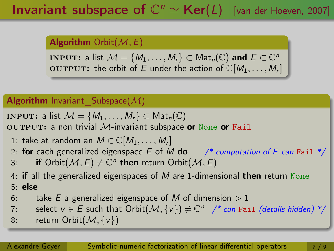## **Invariant subspace of**  $\mathbb{C}^n \simeq \text{Ker}(L)$  [van der Hoeven, 2007]

### **Algorithm** Orbit $(\mathcal{M}, E)$

INPUT: a list  $\mathcal{M} = \{M_1, \ldots, M_r\} \subset \mathsf{Mat}_n(\mathbb{C})$  and  $E \subset \mathbb{C}^n$ OUTPUT: the orbit of E under the action of  $\mathbb{C}[M_1,\ldots,M_r]$ 

### Algorithm Invariant Subspace $(\mathcal{M})$

**INPUT:** a list  $M = \{M_1, \ldots, M_r\} \subset \text{Mat}_n(\mathbb{C})$ 

OUTPUT: a non trivial  $M$ -invariant subspace or None or Fail

- 1: take at random an  $M \in \mathbb{C}[M_1, \ldots, M_r]$
- 2: for each generalized eigenspace E of M do  $\frac{4}{x}$  computation of E can Fail  $\frac{x}{x}$
- 3: if Orbit $(\mathcal{M}, E) \neq \mathbb{C}^n$  then return Orbit $(\mathcal{M}, E)$
- 4: if all the generalized eigenspaces of  $M$  are 1-dimensional then return None 5: else
- 6: take E a generalized eigenspace of M of dimension  $> 1$
- 7: select  $v \in E$  such that  $\operatorname{Orbit}(\mathcal{M}, \{v\}) \neq \mathbb{C}^n$  /\* can Fail (details hidden) \*/
- 8: return Orbit $(M, \{v\})$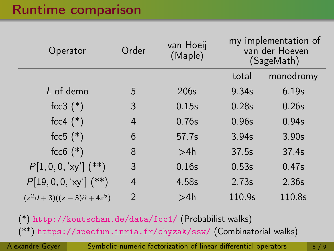### Runtime comparison

| Operator                                  | Order          | van Hoeij<br>(Maple) | my implementation of<br>van der Hoeven<br>(SageMath) |           |
|-------------------------------------------|----------------|----------------------|------------------------------------------------------|-----------|
|                                           |                |                      | total                                                | monodromy |
| L of demo                                 | 5              | 206s                 | 9.34s                                                | 6.19s     |
| $fcc3$ $(*)$                              | 3              | 0.15s                | 0.28s                                                | 0.26s     |
| $fcc4$ $(*)$                              | 4              | 0.76s                | 0.96s                                                | 0.94s     |
| fcc5 $(*)$                                | 6              | 57.7s                | 3.94s                                                | 3.90s     |
| $fcc6$ $(*)$                              | 8              | >4h                  | 37.5s                                                | 37.4s     |
| $P[1,0,0,'xy']$ (**)                      | 3              | 0.16s                | 0.53s                                                | 0.47s     |
| $P[19, 0, 0, 'xy']$ (**)                  | 4              | 4.58s                | 2.73s                                                | 2.36s     |
| $(z2\partial + 3)((z - 3)\partial + 4z5)$ | $\mathfrak{D}$ | >4h                  | 110.9s                                               | 110.8s    |

(\*) <http://koutschan.de/data/fcc1/> (Probabilist walks) (\*\*) <https://specfun.inria.fr/chyzak/ssw/> (Combinatorial walks)

Alexandre Goyer [Symbolic-numeric factorization of linear differential operators](#page-0-0) 8/9